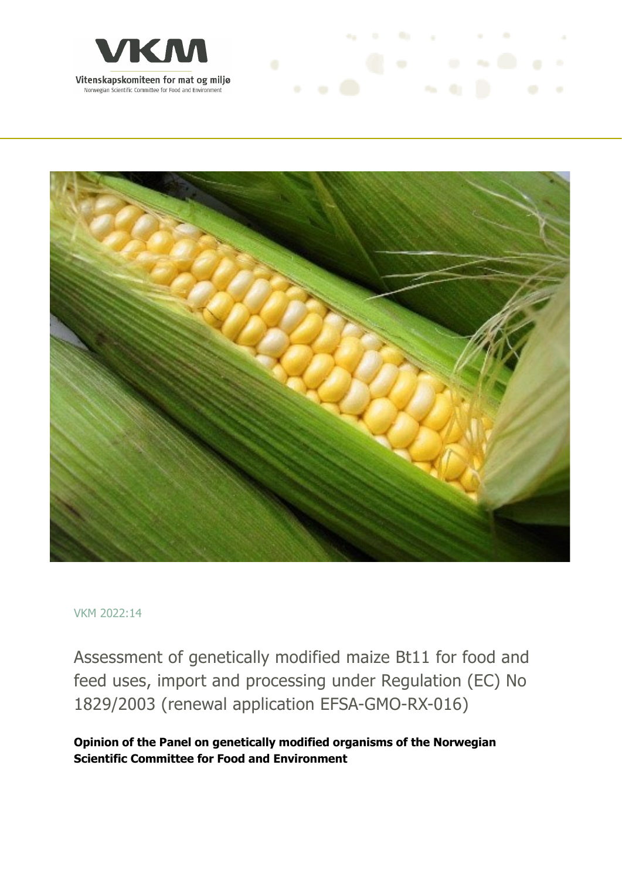



and the management of the con-

#### VKM 2022:14

Assessment of genetically modified maize Bt11 for food and feed uses, import and processing under Regulation (EC) No 1829/2003 (renewal application EFSA-GMO-RX-016)

**Opinion of the Panel on genetically modified organisms of the Norwegian Scientific Committee for Food and Environment**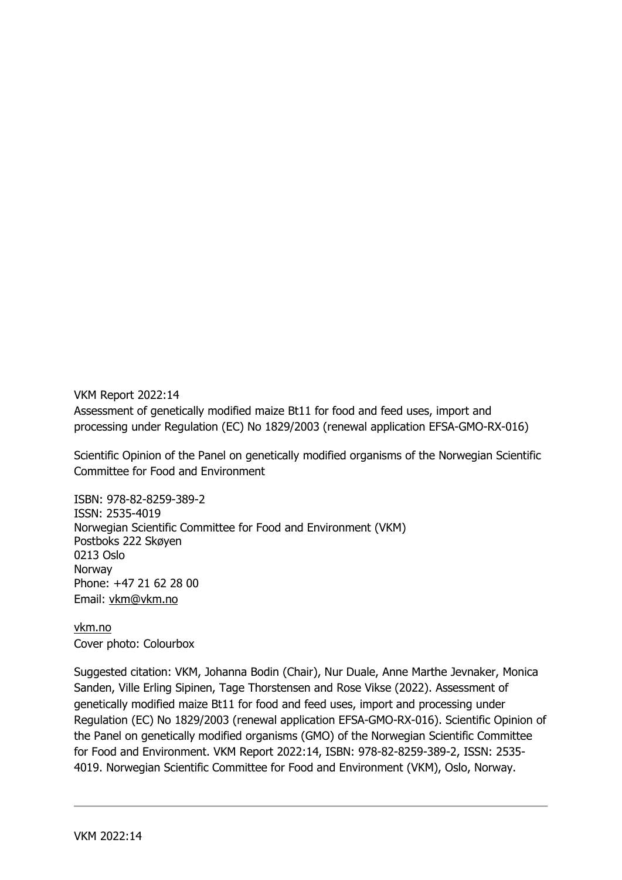VKM Report 2022:14 Assessment of genetically modified maize Bt11 for food and feed uses, import and processing under Regulation (EC) No 1829/2003 (renewal application EFSA-GMO-RX-016)

Scientific Opinion of the Panel on genetically modified organisms of the Norwegian Scientific Committee for Food and Environment

ISBN: 978-82-8259-389-2 ISSN: 2535-4019 Norwegian Scientific Committee for Food and Environment (VKM) Postboks 222 Skøyen 0213 Oslo Norway Phone: +47 21 62 28 00 Email: vkm@vkm.no

vkm.no Cover photo: Colourbox

Suggested citation: VKM, Johanna Bodin (Chair), Nur Duale, Anne Marthe Jevnaker, Monica Sanden, Ville Erling Sipinen, Tage Thorstensen and Rose Vikse (2022). Assessment of genetically modified maize Bt11 for food and feed uses, import and processing under Regulation (EC) No 1829/2003 (renewal application EFSA-GMO-RX-016). Scientific Opinion of the Panel on genetically modified organisms (GMO) of the Norwegian Scientific Committee for Food and Environment. VKM Report 2022:14, ISBN: 978-82-8259-389-2, ISSN: 2535- 4019. Norwegian Scientific Committee for Food and Environment (VKM), Oslo, Norway.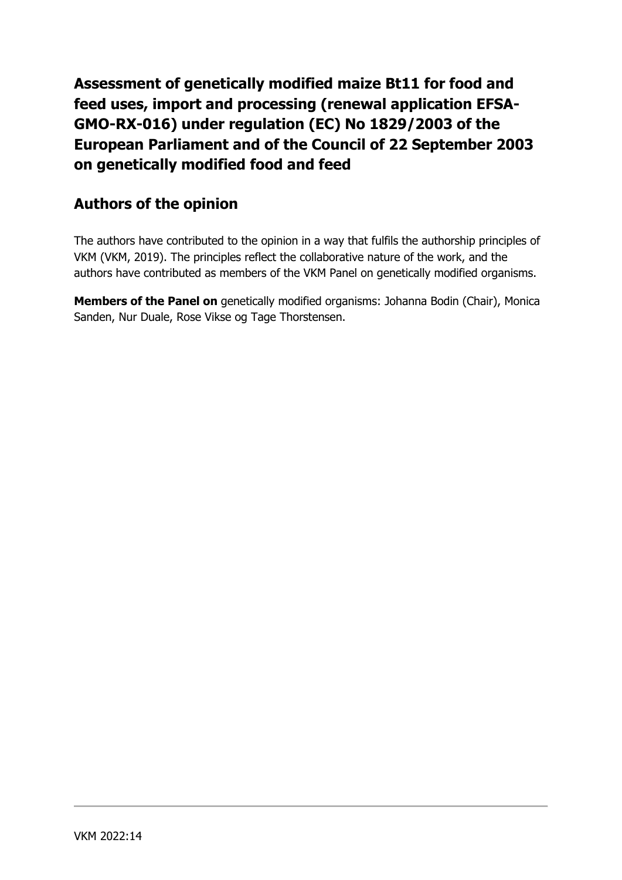**Assessment of genetically modified maize Bt11 for food and feed uses, import and processing (renewal application EFSA-GMO-RX-016) under regulation (EC) No 1829/2003 of the European Parliament and of the Council of 22 September 2003 on genetically modified food and feed**

#### **Authors of the opinion**

The authors have contributed to the opinion in a way that fulfils the authorship principles of VKM (VKM, 2019). The principles reflect the collaborative nature of the work, and the authors have contributed as members of the VKM Panel on genetically modified organisms.

**Members of the Panel on** genetically modified organisms: Johanna Bodin (Chair), Monica Sanden, Nur Duale, Rose Vikse og Tage Thorstensen.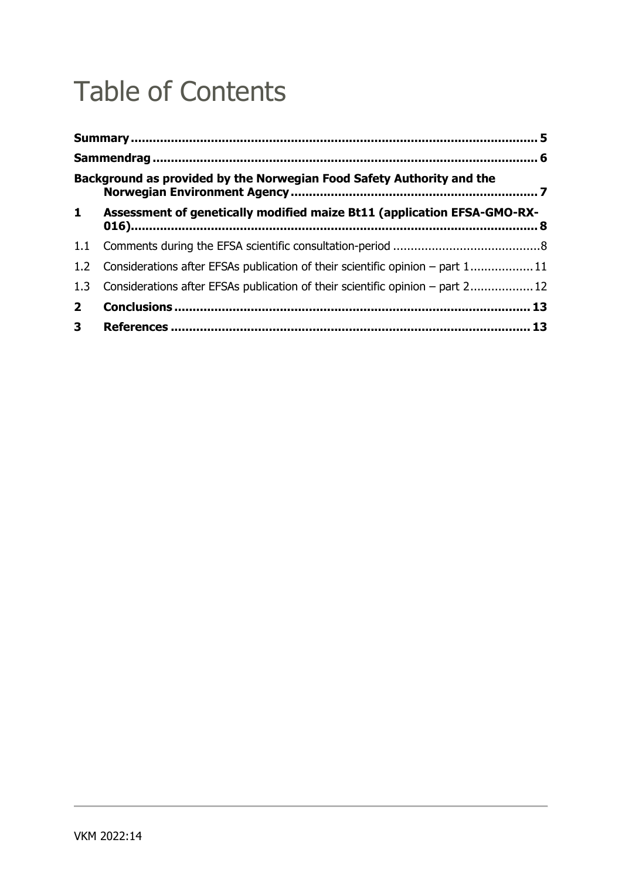# Table of Contents

|                | Background as provided by the Norwegian Food Safety Authority and the             |  |
|----------------|-----------------------------------------------------------------------------------|--|
| $\mathbf{1}$   | Assessment of genetically modified maize Bt11 (application EFSA-GMO-RX-           |  |
| 1.1            |                                                                                   |  |
|                | 1.2 Considerations after EFSAs publication of their scientific opinion – part 111 |  |
| 1.3            | Considerations after EFSAs publication of their scientific opinion – part 2 12    |  |
| 2 <sup>1</sup> |                                                                                   |  |
| 3 <sup>7</sup> |                                                                                   |  |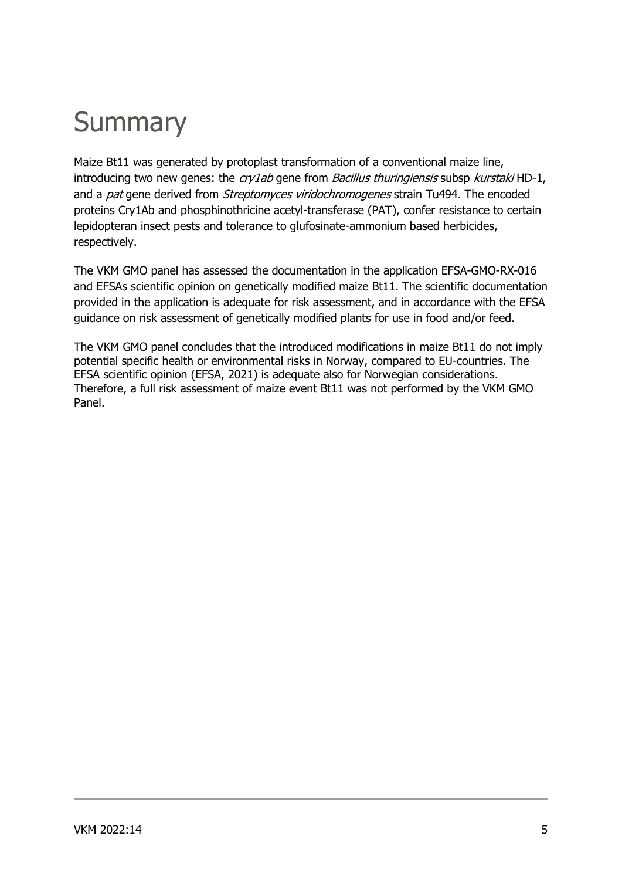# **Summary**

Maize Bt11 was generated by protoplast transformation of a conventional maize line, introducing two new genes: the  $cry1ab$  gene from *Bacillus thuringiensis* subsp *kurstaki* HD-1, and a *pat* gene derived from *Streptomyces viridochromogenes* strain Tu494. The encoded proteins Cry1Ab and phosphinothricine acetyl-transferase (PAT), confer resistance to certain lepidopteran insect pests and tolerance to glufosinate-ammonium based herbicides, respectively.

The VKM GMO panel has assessed the documentation in the application EFSA-GMO-RX-016 and EFSAs scientific opinion on genetically modified maize Bt11. The scientific documentation provided in the application is adequate for risk assessment, and in accordance with the EFSA guidance on risk assessment of genetically modified plants for use in food and/or feed.

The VKM GMO panel concludes that the introduced modifications in maize Bt11 do not imply potential specific health or environmental risks in Norway, compared to EU-countries. The EFSA scientific opinion (EFSA, 2021) is adequate also for Norwegian considerations. Therefore, a full risk assessment of maize event Bt11 was not performed by the VKM GMO Panel.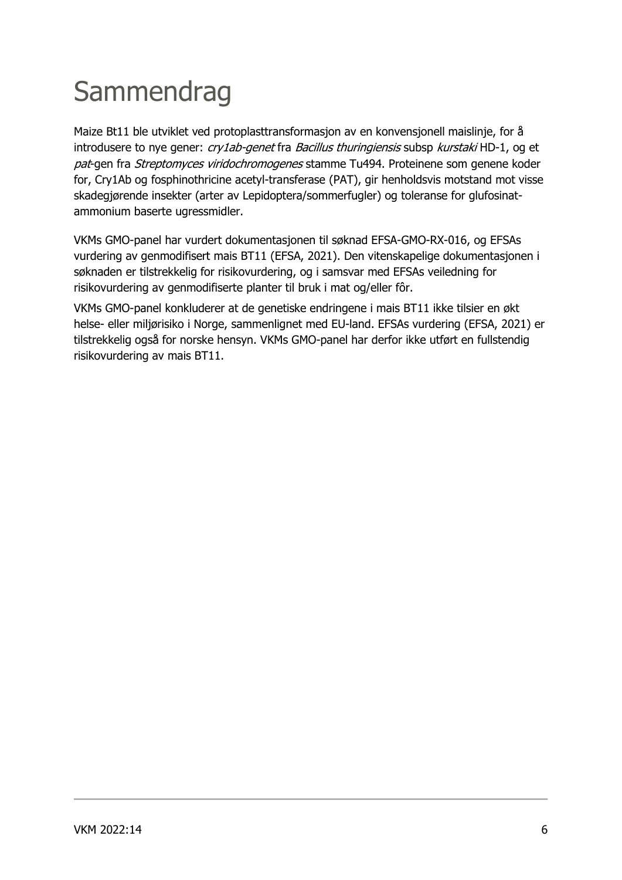# **Sammendrag**

Maize Bt11 ble utviklet ved protoplasttransformasjon av en konvensjonell maislinje, for å introdusere to nye gener: *cry1ab-genet* fra Bacillus thuringiensis subsp kurstaki HD-1, og et pat-gen fra Streptomyces viridochromogenes stamme Tu494. Proteinene som genene koder for, Cry1Ab og fosphinothricine acetyl-transferase (PAT), gir henholdsvis motstand mot visse skadegjørende insekter (arter av Lepidoptera/sommerfugler) og toleranse for glufosinatammonium baserte ugressmidler.

VKMs GMO-panel har vurdert dokumentasjonen til søknad EFSA-GMO-RX-016, og EFSAs vurdering av genmodifisert mais BT11 (EFSA, 2021). Den vitenskapelige dokumentasjonen i søknaden er tilstrekkelig for risikovurdering, og i samsvar med EFSAs veiledning for risikovurdering av genmodifiserte planter til bruk i mat og/eller fôr.

VKMs GMO-panel konkluderer at de genetiske endringene i mais BT11 ikke tilsier en økt helse- eller miljørisiko i Norge, sammenlignet med EU-land. EFSAs vurdering (EFSA, 2021) er tilstrekkelig også for norske hensyn. VKMs GMO-panel har derfor ikke utført en fullstendig risikovurdering av mais BT11.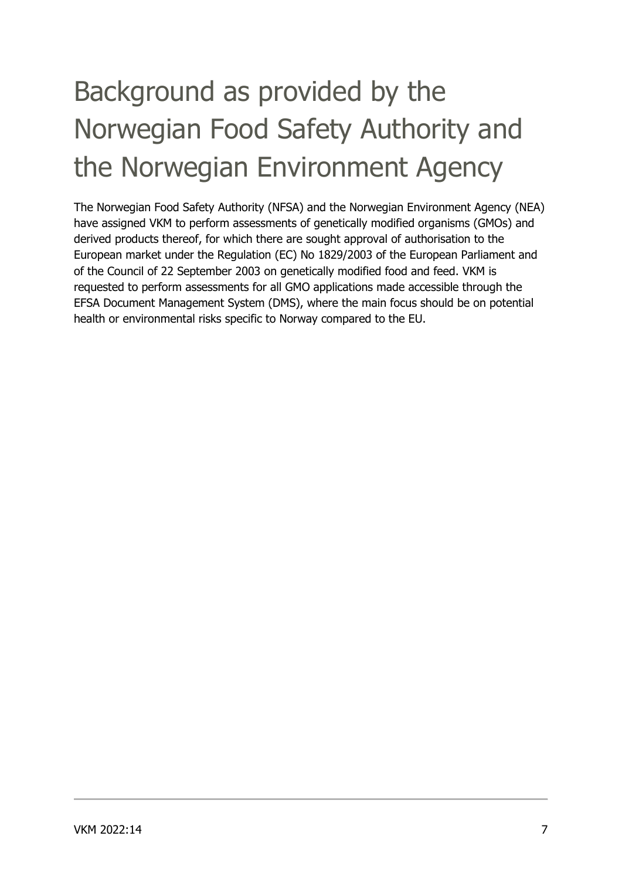# Background as provided by the Norwegian Food Safety Authority and the Norwegian Environment Agency

The Norwegian Food Safety Authority (NFSA) and the Norwegian Environment Agency (NEA) have assigned VKM to perform assessments of genetically modified organisms (GMOs) and derived products thereof, for which there are sought approval of authorisation to the European market under the Regulation (EC) No 1829/2003 of the European Parliament and of the Council of 22 September 2003 on genetically modified food and feed. VKM is requested to perform assessments for all GMO applications made accessible through the EFSA Document Management System (DMS), where the main focus should be on potential health or environmental risks specific to Norway compared to the EU.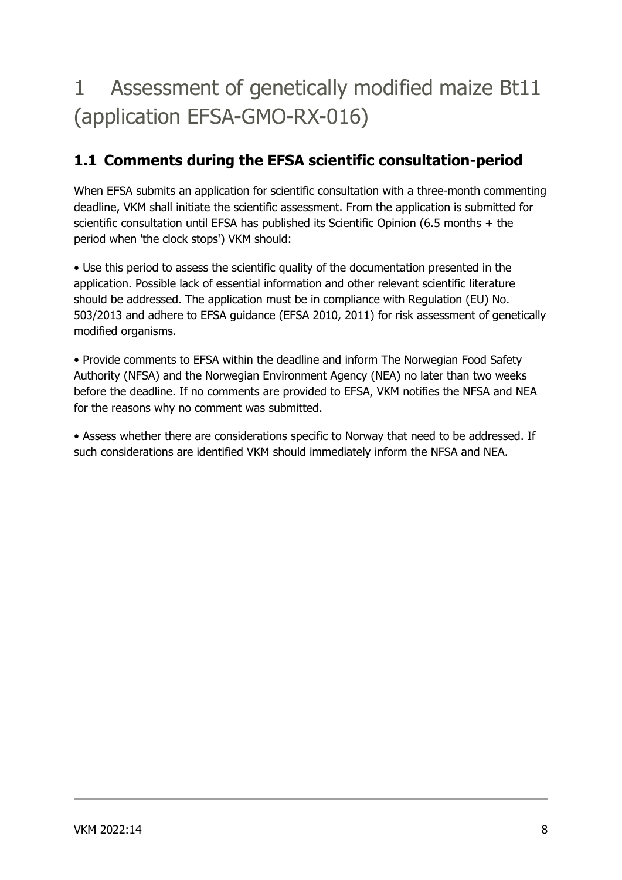## 1 Assessment of genetically modified maize Bt11 (application EFSA-GMO-RX-016)

### **1.1 Comments during the EFSA scientific consultation-period**

When EFSA submits an application for scientific consultation with a three-month commenting deadline, VKM shall initiate the scientific assessment. From the application is submitted for scientific consultation until EFSA has published its Scientific Opinion (6.5 months + the period when 'the clock stops') VKM should:

• Use this period to assess the scientific quality of the documentation presented in the application. Possible lack of essential information and other relevant scientific literature should be addressed. The application must be in compliance with Regulation (EU) No. 503/2013 and adhere to EFSA guidance (EFSA 2010, 2011) for risk assessment of genetically modified organisms.

• Provide comments to EFSA within the deadline and inform The Norwegian Food Safety Authority (NFSA) and the Norwegian Environment Agency (NEA) no later than two weeks before the deadline. If no comments are provided to EFSA, VKM notifies the NFSA and NEA for the reasons why no comment was submitted.

• Assess whether there are considerations specific to Norway that need to be addressed. If such considerations are identified VKM should immediately inform the NFSA and NEA.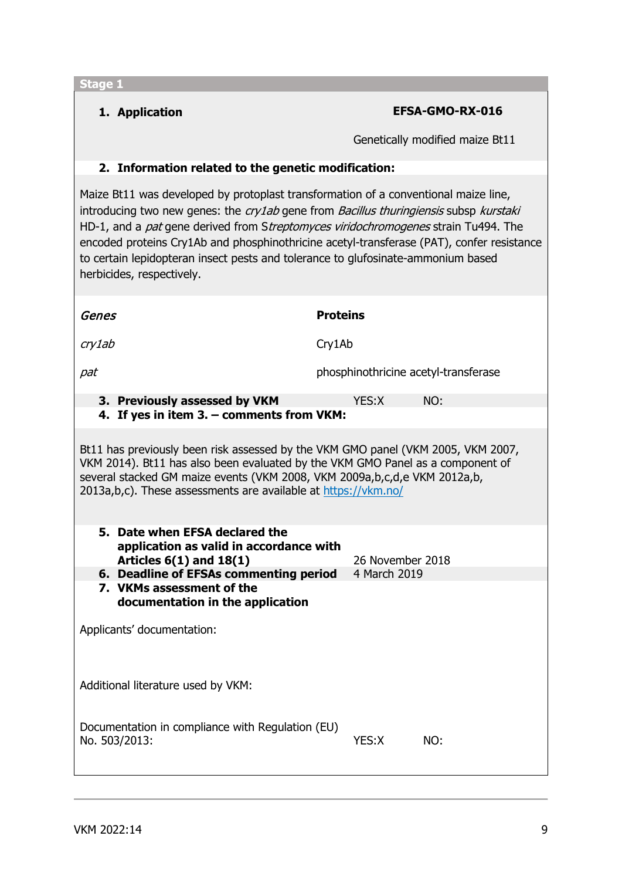**1. Application EFSA-GMO-RX-016**

Genetically modified maize Bt11

#### **2. Information related to the genetic modification:**

Maize Bt11 was developed by protoplast transformation of a conventional maize line, introducing two new genes: the cry1ab gene from Bacillus thuringiensis subsp kurstaki HD-1, and a pat gene derived from Streptomyces viridochromogenes strain Tu494. The encoded proteins Cry1Ab and phosphinothricine acetyl-transferase (PAT), confer resistance to certain lepidopteran insect pests and tolerance to glufosinate-ammonium based herbicides, respectively.

| <b>Proteins</b>                                                                                                                                                                                                                                                                                                     |  |  |  |  |  |  |
|---------------------------------------------------------------------------------------------------------------------------------------------------------------------------------------------------------------------------------------------------------------------------------------------------------------------|--|--|--|--|--|--|
| Cry1Ab                                                                                                                                                                                                                                                                                                              |  |  |  |  |  |  |
| phosphinothricine acetyl-transferase                                                                                                                                                                                                                                                                                |  |  |  |  |  |  |
| YES:X<br>NO:<br>4. If yes in item 3. - comments from VKM:                                                                                                                                                                                                                                                           |  |  |  |  |  |  |
| Bt11 has previously been risk assessed by the VKM GMO panel (VKM 2005, VKM 2007,<br>VKM 2014). Bt11 has also been evaluated by the VKM GMO Panel as a component of<br>several stacked GM maize events (VKM 2008, VKM 2009a,b,c,d,e VKM 2012a,b,<br>2013a, b, c). These assessments are available at https://vkm.no/ |  |  |  |  |  |  |
| application as valid in accordance with<br>26 November 2018                                                                                                                                                                                                                                                         |  |  |  |  |  |  |
| 6. Deadline of EFSAs commenting period<br>4 March 2019                                                                                                                                                                                                                                                              |  |  |  |  |  |  |
| Applicants' documentation:                                                                                                                                                                                                                                                                                          |  |  |  |  |  |  |
| Additional literature used by VKM:                                                                                                                                                                                                                                                                                  |  |  |  |  |  |  |
| Documentation in compliance with Regulation (EU)<br>YES:X<br>NO:                                                                                                                                                                                                                                                    |  |  |  |  |  |  |
|                                                                                                                                                                                                                                                                                                                     |  |  |  |  |  |  |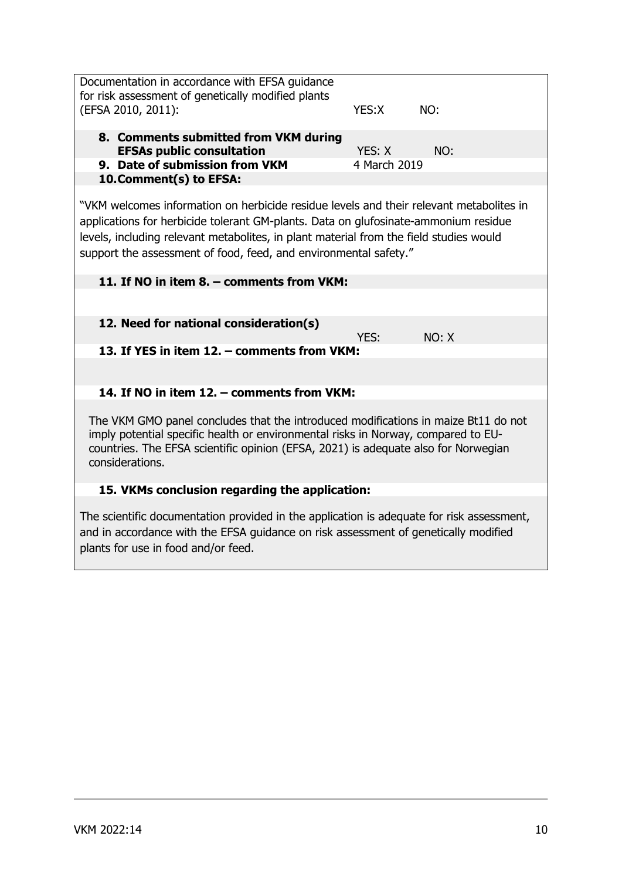Documentation in accordance with EFSA guidance for risk assessment of genetically modified plants (EFSA 2010, 2011): YES:X NO: **8. Comments submitted from VKM during EFSAs public consultation YES: X** NO: **9. Date of submission from VKM** 4 March 2019 **10.Comment(s) to EFSA:** "VKM welcomes information on herbicide residue levels and their relevant metabolites in applications for herbicide tolerant GM-plants. Data on glufosinate-ammonium residue levels, including relevant metabolites, in plant material from the field studies would support the assessment of food, feed, and environmental safety." **11. If NO in item 8. – comments from VKM: 12. Need for national consideration(s)** YES: NO: X **13. If YES in item 12. – comments from VKM: 14. If NO in item 12. – comments from VKM:** The VKM GMO panel concludes that the introduced modifications in maize Bt11 do not imply potential specific health or environmental risks in Norway, compared to EUcountries. The EFSA scientific opinion (EFSA, 2021) is adequate also for Norwegian considerations. **15. VKMs conclusion regarding the application:** The scientific documentation provided in the application is adequate for risk assessment, and in accordance with the EFSA guidance on risk assessment of genetically modified

plants for use in food and/or feed.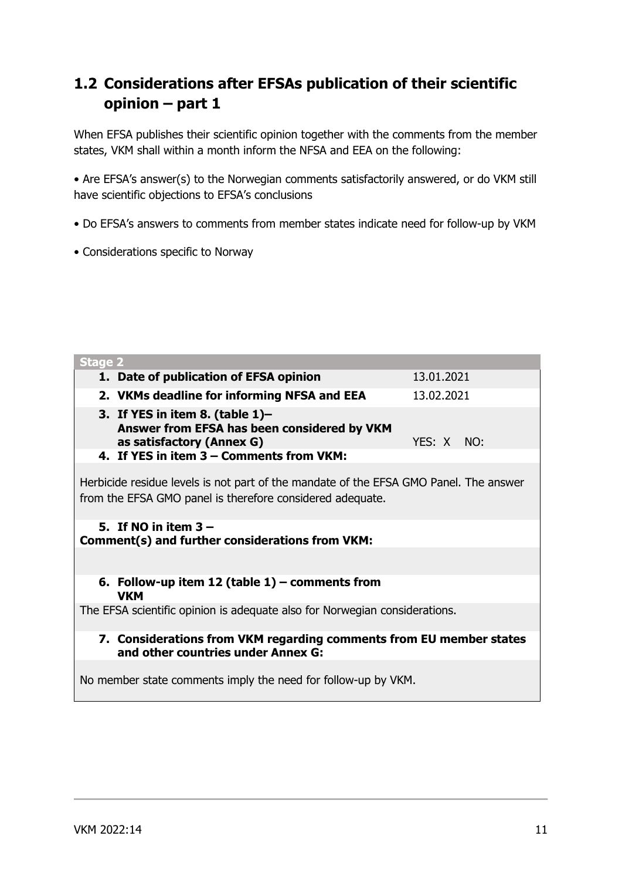### **1.2 Considerations after EFSAs publication of their scientific opinion – part 1**

When EFSA publishes their scientific opinion together with the comments from the member states, VKM shall within a month inform the NFSA and EEA on the following:

• Are EFSA's answer(s) to the Norwegian comments satisfactorily answered, or do VKM still have scientific objections to EFSA's conclusions

- Do EFSA's answers to comments from member states indicate need for follow-up by VKM
- Considerations specific to Norway

| <b>Stage 2</b>                                                                                                                                     |            |  |  |  |  |
|----------------------------------------------------------------------------------------------------------------------------------------------------|------------|--|--|--|--|
| 1. Date of publication of EFSA opinion                                                                                                             | 13.01.2021 |  |  |  |  |
| 2. VKMs deadline for informing NFSA and EEA                                                                                                        | 13.02.2021 |  |  |  |  |
| 3. If YES in item 8. (table $1$ )–<br>Answer from EFSA has been considered by VKM<br>as satisfactory (Annex G)                                     | YES: X NO: |  |  |  |  |
| 4. If YES in item 3 - Comments from VKM:                                                                                                           |            |  |  |  |  |
| Herbicide residue levels is not part of the mandate of the EFSA GMO Panel. The answer<br>from the EFSA GMO panel is therefore considered adequate. |            |  |  |  |  |
| 5. If NO in item $3 -$<br><b>Comment(s) and further considerations from VKM:</b>                                                                   |            |  |  |  |  |
|                                                                                                                                                    |            |  |  |  |  |
| 6. Follow-up item 12 (table $1$ ) – comments from<br><b>VKM</b>                                                                                    |            |  |  |  |  |
| The EFSA scientific opinion is adequate also for Norwegian considerations.                                                                         |            |  |  |  |  |
| 7. Considerations from VKM regarding comments from EU member states<br>and other countries under Annex G:                                          |            |  |  |  |  |
| No member state comments imply the need for follow-up by VKM.                                                                                      |            |  |  |  |  |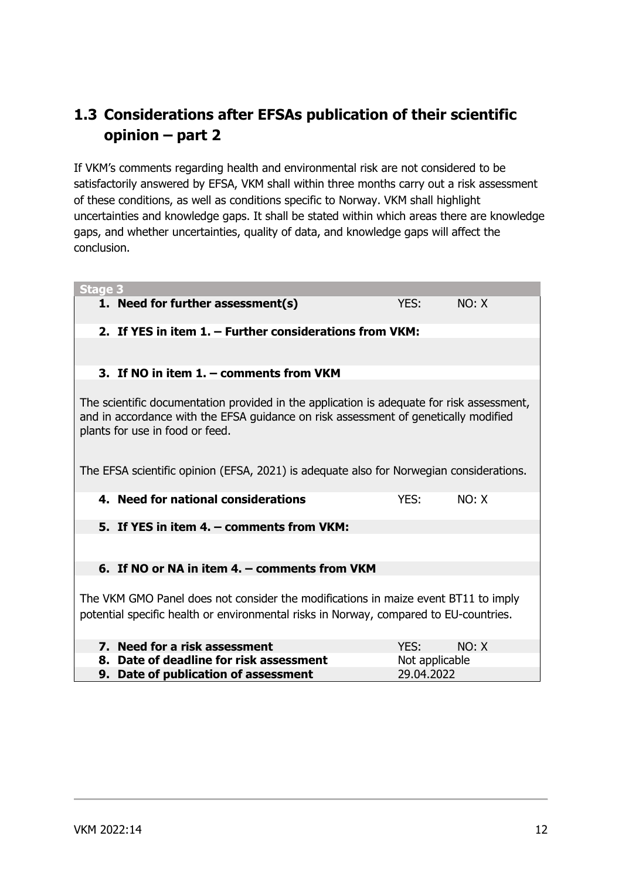### **1.3 Considerations after EFSAs publication of their scientific opinion – part 2**

If VKM's comments regarding health and environmental risk are not considered to be satisfactorily answered by EFSA, VKM shall within three months carry out a risk assessment of these conditions, as well as conditions specific to Norway. VKM shall highlight uncertainties and knowledge gaps. It shall be stated within which areas there are knowledge gaps, and whether uncertainties, quality of data, and knowledge gaps will affect the conclusion.

| Stage 3                                                                                                                                                                                                                                                                                                        |            |       |  |  |  |  |
|----------------------------------------------------------------------------------------------------------------------------------------------------------------------------------------------------------------------------------------------------------------------------------------------------------------|------------|-------|--|--|--|--|
| 1. Need for further assessment(s)                                                                                                                                                                                                                                                                              | YES:       | NO: X |  |  |  |  |
| 2. If YES in item 1. - Further considerations from VKM:                                                                                                                                                                                                                                                        |            |       |  |  |  |  |
|                                                                                                                                                                                                                                                                                                                |            |       |  |  |  |  |
| 3. If NO in item 1. - comments from VKM                                                                                                                                                                                                                                                                        |            |       |  |  |  |  |
| The scientific documentation provided in the application is adequate for risk assessment,<br>and in accordance with the EFSA guidance on risk assessment of genetically modified<br>plants for use in food or feed.<br>The EFSA scientific opinion (EFSA, 2021) is adequate also for Norwegian considerations. |            |       |  |  |  |  |
| 4. Need for national considerations                                                                                                                                                                                                                                                                            | YES:       | NO: X |  |  |  |  |
| 5. If YES in item 4. – comments from VKM:                                                                                                                                                                                                                                                                      |            |       |  |  |  |  |
|                                                                                                                                                                                                                                                                                                                |            |       |  |  |  |  |
| 6. If NO or NA in item 4. - comments from VKM                                                                                                                                                                                                                                                                  |            |       |  |  |  |  |
| The VKM GMO Panel does not consider the modifications in maize event BT11 to imply<br>potential specific health or environmental risks in Norway, compared to EU-countries.                                                                                                                                    |            |       |  |  |  |  |
| 7. Need for a risk assessment                                                                                                                                                                                                                                                                                  | YES:       | NO: X |  |  |  |  |
| 8. Date of deadline for risk assessment<br>Not applicable                                                                                                                                                                                                                                                      |            |       |  |  |  |  |
| 9. Date of publication of assessment                                                                                                                                                                                                                                                                           | 29.04.2022 |       |  |  |  |  |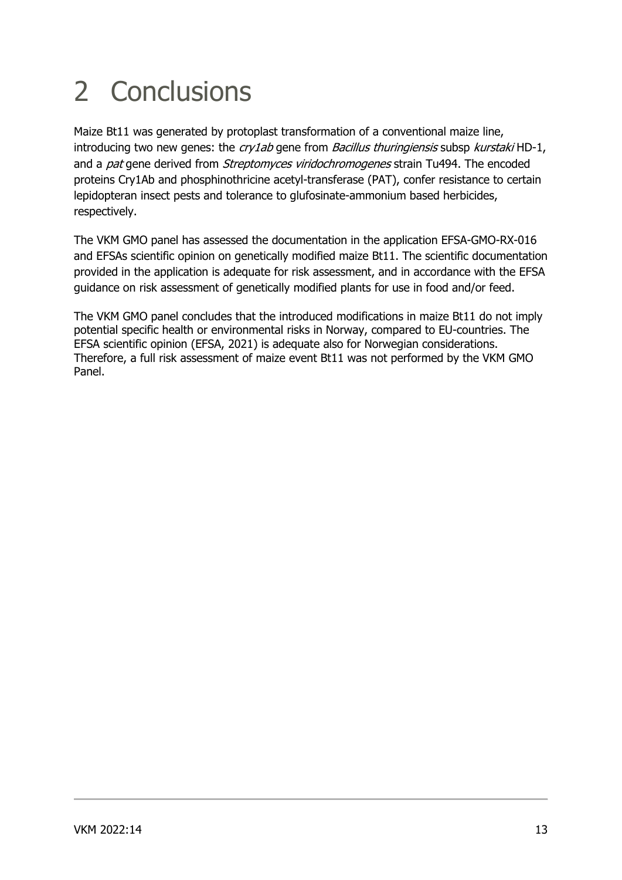# 2 Conclusions

Maize Bt11 was generated by protoplast transformation of a conventional maize line, introducing two new genes: the  $cry$ 1ab gene from Bacillus thuringiensis subsp kurstaki HD-1, and a *pat* gene derived from *Streptomyces viridochromogenes* strain Tu494. The encoded proteins Cry1Ab and phosphinothricine acetyl-transferase (PAT), confer resistance to certain lepidopteran insect pests and tolerance to glufosinate-ammonium based herbicides, respectively.

The VKM GMO panel has assessed the documentation in the application EFSA-GMO-RX-016 and EFSAs scientific opinion on genetically modified maize Bt11. The scientific documentation provided in the application is adequate for risk assessment, and in accordance with the EFSA guidance on risk assessment of genetically modified plants for use in food and/or feed.

The VKM GMO panel concludes that the introduced modifications in maize Bt11 do not imply potential specific health or environmental risks in Norway, compared to EU-countries. The EFSA scientific opinion (EFSA, 2021) is adequate also for Norwegian considerations. Therefore, a full risk assessment of maize event Bt11 was not performed by the VKM GMO Panel.